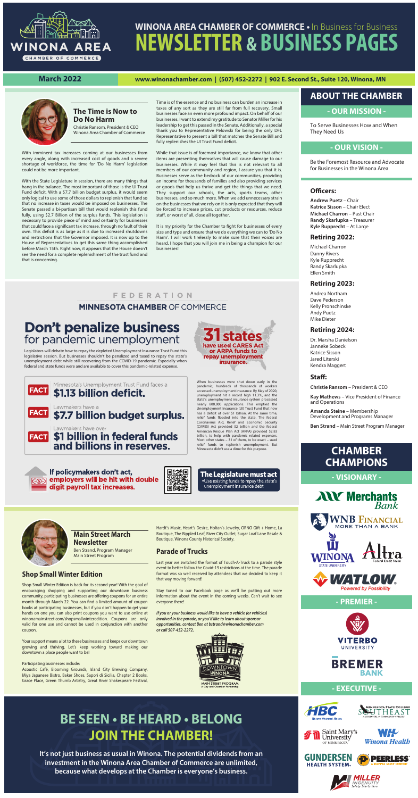#### **- OUR MISSION -**

To Serve Businesses How and When They Need Us



# **WINONA AREA CHAMBER OF COMMERCE •** In Business for Business **NEWSLETTER & BUSINESS PAGES**

#### **March 2022 www.winonachamber.com | (507) 452-2272 | 902 E. Second St., Suite 120, Winona, MN**



**Andrew Puetz** – Chair **Katrice Sisson** – Chair Elect **Michael Charron** – Past Chair **Randy Skarlupka** – Treasurer **Kyle Rupprecht** – At Large

#### **Retiring 2022:**

Michael Charron Danny Rivers Kyle Rupprecht Randy Skarlupka Ellen Smith

#### **Retiring 2023:**

Andrea Northam Dave Pederson Kelly Pronschinske Andy Puetz Mike Dieter

#### **Retiring 2024:**

Dr. Marsha Danielson Janneke Sobeck Katrice Sisson Jared Literski Kendra Maggert

#### Staff:

**Christie Ransom** – President & CEO

**Kay Mathews** – Vice President of Finance and Operations

**Amanda Steine** – Membership Development and Programs Manager

**Ben Strand** – Main Street Program Manager

#### **- OUR VISION -**

### **ABOUT THE CHAMBER**

Be the Foremost Resource and Advocate for Businesses in the Winona Area

#### **Officers:**

## **BE SEEN • BE HEARD • BELONG JOIN THE CHAMBER!**

**It's not just business as usual in Winona. The potential dividends from an investment in the Winona Area Chamber of Commerce are unlimited, because what develops at the Chamber is everyone's business.**

### **CHAMBER CHAMPIONS**

**- VISIONARY -**





Time is of the essence and no business can burden an increase in taxes of any sort as they are still far from full recovery. Small businesses face an even more profound impact. On behalf of our businesses, I want to extend my gratitude to Senator Miller for his leadership to get this passed in the Senate. Additionally, a special thank you to Representative Pelowski for being the only DFL Representative to present a bill that matches the Senate Bill and fully replenishes the UI Trust Fund deficit.

#### **- PREMIER -**





#### **- EXECUTIVE -**















#### **The Time is Now to Do No Harm**

Christie Ransom, President & CEO Winona Area Chamber of Commerce

With imminent tax increases coming at our businesses from every angle, along with increased cost of goods and a severe shortage of workforce, the time for 'Do No Harm' legislation could not be more important.

While that issue is of foremost importance, we know that other items are presenting themselves that will cause damage to our businesses. While it may feel that this is not relevant to all members of our community and region, I assure you that it is. Businesses serve as the bedrock of our communities, providing an income for thousands of families and also providing services or goods that help us thrive and get the things that we need. They support our schools, the arts, sports teams, other businesses, and so much more. When we add unnecessary strain on the businesses that we rely on it is only expected that they will be forced to increase prices, cut products or resources, reduce staff, or worst of all, close all together.

It is my priority for the Chamber to fight for businesses of every size and type and ensure that we do everything we can to 'Do No Harm'. I will work tirelessly to make sure that their voices are heard. I hope that you will join me in being a champion for our businesses!

#### **FEDERATION**

#### **MINNESOTA CHAMBER OF COMMERCE**

### **Don't penalize business** for pandemic unemployment

With the State Legislature in session, there are many things that hang in the balance. The most important of those is the UI Trust Fund deficit. With a \$7.7 billion budget surplus, it would seem only logical to use some of those dollars to replenish that fund so that no increase in taxes would be imposed on businesses. The Senate passed a bi-partisan bill that would replenish this fund fully, using \$2.7 Billion of the surplus funds. This legislation is necessary to provide piece of mind and certainty for businesses that could face a significant tax increase, through no fault of their own. This deficit is as large as it is due to increased shutdowns and restrictions that the Governor imposed. It is now up to the House of Representatives to get this same thing accomplished before March 15th. Right now, it appears that the House doesn't see the need for a complete replenishment of the trust fund and that is concerning.

#### **Main Street March Newsletter**

Ben Strand, Program Manager Main Street Program

**Shop Small Winter Edition**

Shop Small Winter Edition is back for its second year! With the goal of

encouraging shopping and supporting our downtown business community, participating businesses are offering coupons for an entire month through March 22. You can find a limited amount of coupon books at participating businesses, but if you don't happen to get your hands on one you can also print coupons you want to use online at winonamainstreet.com/shopsmallwinteredition. Coupons are only valid for one use and cannot be used in conjunction with another coupon.

Your support means a lot to these businesses and keeps our downtown growing and thriving. Let's keep working toward making our downtown a place people want to be!

#### Participating businesses include:

Acoustic Café, Blooming Grounds, Island City Brewing Company, Miya Japanese Bistro, Baker Shoes, Sapori di Sicilia, Chapter 2 Books, Grace Place, Green Thumb Artistry, Great River Shakespeare Festival,

Hardt's Music, Heart's Desire, Holtan's Jewelry, ORNO Gift + Home, La Boutique, The Rippled Leaf, River City Outlet, Sugar Loaf Lane Resale & Boutique, Winona County Historical Society.

#### **Parade of Trucks**

电线点

首漢男

Last year we switched the format of Touch-A-Truck to a parade style event to better follow the Covid-19 restrictions at the time. The parade format was so well received by attendees that we decided to keep it that way moving forward!

Stay tuned to our Facebook page as we'll be putting out more information about the event in the coming weeks. Can't wait to see everyone there!

*If you or your business would like to have a vehicle (or vehicles) involved in the parade, or you'd like to learn about sponsor opportunities, contact Ben at bstrand@winonachamber.com or call 507-452-2272.* 



**Powered by Possibility** 

Legislators will debate how to repay the depleted Unemployment Insurance Trust Fund this legislative session. But businesses shouldn't be penalized and taxed to repay the state's unemployment debt while still recovering from the COVID-19 pandemic. Especially when federal and state funds were and are available to cover this pandemic-related expense.



If policymakers don't act, employers will be hit with double ତେ) digit payroll tax increases.



pandemic, hundreds of thousands of workers accessed unemployment insurance. By May of 2020, unemployment hit a record high 11.3%, and the state's unemployment insurance system processed nearly 800,000 applications. This emptied the Unemployment Insurance (UI) Trust Fund that now has a deficit of over \$1 billion. At the same time, relief funds flooded into the state. The federal<br>Coronavirus Aid, Relief and Economic Security<br>(CARES) Act provided \$2 billion and the federal American Rescue Plan Act (ARPA) provided \$2.83 billion, to help with pandemic related expenses. Most other states – 31 of them, to be exact – used relief funds to replenish unemployment. But Minnesota didn't use a dime for this purpose.

The Legislature must act .Use existing funds to repay the state's unemployment insurance debt